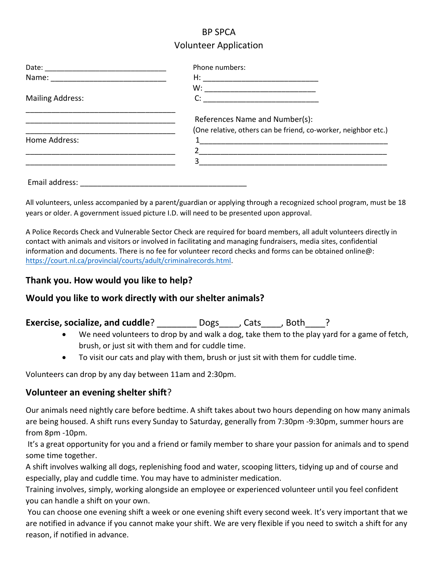# BP SPCA Volunteer Application

|                         | Phone numbers:                                                 |
|-------------------------|----------------------------------------------------------------|
|                         |                                                                |
|                         | $W: \_$                                                        |
| <b>Mailing Address:</b> | $C: \qquad \qquad \overbrace{\qquad \qquad }$                  |
|                         | References Name and Number(s):                                 |
|                         | (One relative, others can be friend, co-worker, neighbor etc.) |
| Home Address:           |                                                                |
|                         |                                                                |
|                         |                                                                |
| Email address:          |                                                                |

All volunteers, unless accompanied by a parent/guardian or applying through a recognized school program, must be 18 years or older. A government issued picture I.D. will need to be presented upon approval.

A Police Records Check and Vulnerable Sector Check are required for board members, all adult volunteers directly in contact with animals and visitors or involved in facilitating and managing fundraisers, media sites, confidential information and documents. There is no fee for volunteer record checks and forms can be obtained online@: [https://court.nl.ca/provincial/courts/adult/criminalrecords.html.](https://court.nl.ca/provincial/courts/adult/criminalrecords.html)

### **Thank you. How would you like to help?**

## **Would you like to work directly with our shelter animals?**

# **Exercise, socialize, and cuddle**? **Dogs** , Cats , Both ?

- We need volunteers to drop by and walk a dog, take them to the play yard for a game of fetch, brush, or just sit with them and for cuddle time.
- To visit our cats and play with them, brush or just sit with them for cuddle time.

Volunteers can drop by any day between 11am and 2:30pm.

### **Volunteer an evening shelter shift**?

Our animals need nightly care before bedtime. A shift takes about two hours depending on how many animals are being housed. A shift runs every Sunday to Saturday, generally from 7:30pm -9:30pm, summer hours are from 8pm -10pm.

It's a great opportunity for you and a friend or family member to share your passion for animals and to spend some time together.

A shift involves walking all dogs, replenishing food and water, scooping litters, tidying up and of course and especially, play and cuddle time. You may have to administer medication.

Training involves, simply, working alongside an employee or experienced volunteer until you feel confident you can handle a shift on your own.

You can choose one evening shift a week or one evening shift every second week. It's very important that we are notified in advance if you cannot make your shift. We are very flexible if you need to switch a shift for any reason, if notified in advance.